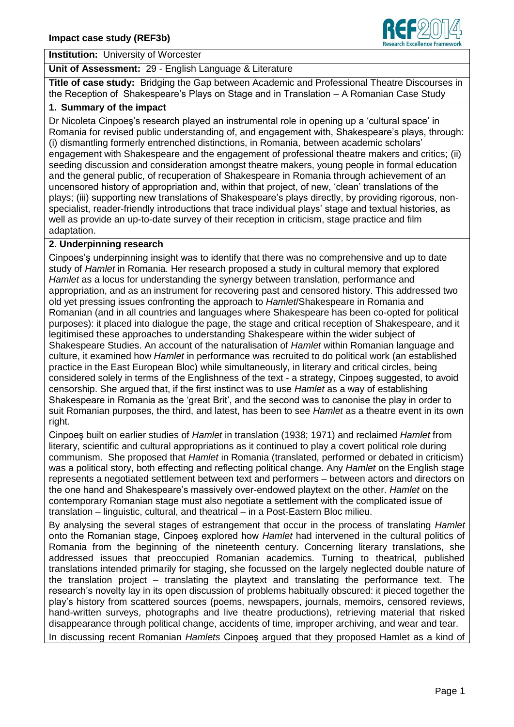

#### **Institution:** University of Worcester

#### **Unit of Assessment:** 29 - English Language & Literature

**Title of case study:** Bridging the Gap between Academic and Professional Theatre Discourses in the Reception of Shakespeare's Plays on Stage and in Translation – A Romanian Case Study

# **1. Summary of the impa***c***t**

Dr Nicoleta Cinpoeş's research played an instrumental role in opening up a 'cultural space' in Romania for revised public understanding of, and engagement with, Shakespeare's plays, through: (i) dismantling formerly entrenched distinctions, in Romania, between academic scholars' engagement with Shakespeare and the engagement of professional theatre makers and critics; (ii) seeding discussion and consideration amongst theatre makers, young people in formal education and the general public, of recuperation of Shakespeare in Romania through achievement of an uncensored history of appropriation and, within that project, of new, 'clean' translations of the plays; (iii) supporting new translations of Shakespeare's plays directly, by providing rigorous, nonspecialist, reader-friendly introductions that trace individual plays' stage and textual histories, as well as provide an up-to-date survey of their reception in criticism, stage practice and film adaptation.

## **2. Underpinning research**

Cinpoes'ş underpinning insight was to identify that there was no comprehensive and up to date study of *Hamlet* in Romania. Her research proposed a study in cultural memory that explored *Hamlet* as a locus for understanding the synergy between translation, performance and appropriation, and as an instrument for recovering past and censored history. This addressed two old yet pressing issues confronting the approach to *Hamlet*/Shakespeare in Romania and Romanian (and in all countries and languages where Shakespeare has been co-opted for political purposes): it placed into dialogue the page, the stage and critical reception of Shakespeare, and it legitimised these approaches to understanding Shakespeare within the wider subject of Shakespeare Studies. An account of the naturalisation of *Hamlet* within Romanian language and culture, it examined how *Hamlet* in performance was recruited to do political work (an established practice in the East European Bloc) while simultaneously, in literary and critical circles, being considered solely in terms of the Englishness of the text - a strategy, Cinpoeş suggested, to avoid censorship. She argued that, if the first instinct was to use *Hamlet* as a way of establishing Shakespeare in Romania as the 'great Brit', and the second was to canonise the play in order to suit Romanian purposes, the third, and latest, has been to see *Hamlet* as a theatre event in its own right.

Cinpoeş built on earlier studies of *Hamlet* in translation (1938; 1971) and reclaimed *Hamlet* from literary, scientific and cultural appropriations as it continued to play a covert political role during communism. She proposed that *Hamlet* in Romania (translated, performed or debated in criticism) was a political story, both effecting and reflecting political change. Any *Hamlet* on the English stage represents a negotiated settlement between text and performers – between actors and directors on the one hand and Shakespeare's massively over-endowed playtext on the other. *Hamlet* on the contemporary Romanian stage must also negotiate a settlement with the complicated issue of translation – linguistic, cultural, and theatrical – in a Post-Eastern Bloc milieu.

By analysing the several stages of estrangement that occur in the process of translating *Hamlet* onto the Romanian stage, Cinpoeş explored how *Hamlet* had intervened in the cultural politics of Romania from the beginning of the nineteenth century. Concerning literary translations, she addressed issues that preoccupied Romanian academics. Turning to theatrical, published translations intended primarily for staging, she focussed on the largely neglected double nature of the translation project – translating the playtext and translating the performance text. The research's novelty lay in its open discussion of problems habitually obscured: it pieced together the play's history from scattered sources (poems, newspapers, journals, memoirs, censored reviews, hand-written surveys, photographs and live theatre productions), retrieving material that risked disappearance through political change, accidents of time, improper archiving, and wear and tear.

In discussing recent Romanian *Hamlets* Cinpoeş argued that they proposed Hamlet as a kind of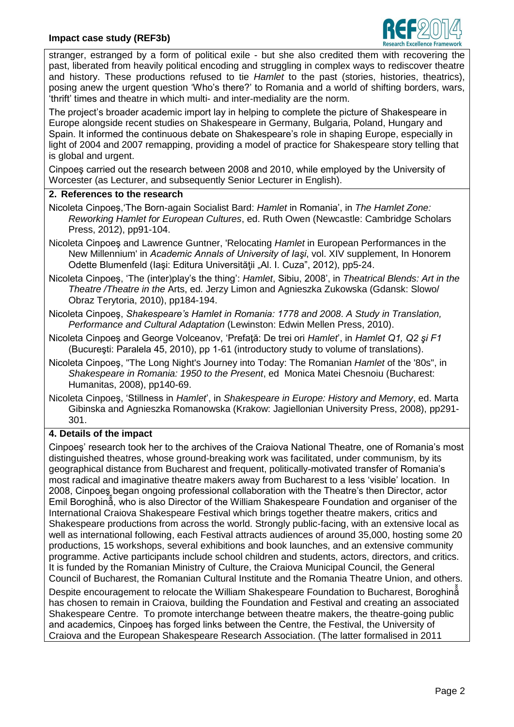# **Impact case study (REF3b)**



stranger, estranged by a form of political exile - but she also credited them with recovering the past, liberated from heavily political encoding and struggling in complex ways to rediscover theatre and history. These productions refused to tie *Hamlet* to the past (stories, histories, theatrics), posing anew the urgent question 'Who's there?' to Romania and a world of shifting borders, wars, 'thrift' times and theatre in which multi- and inter-mediality are the norm.

The project's broader academic import lay in helping to complete the picture of Shakespeare in Europe alongside recent studies on Shakespeare in Germany, Bulgaria, Poland, Hungary and Spain. It informed the continuous debate on Shakespeare's role in shaping Europe, especially in light of 2004 and 2007 remapping, providing a model of practice for Shakespeare story telling that is global and urgent.

Cinpoeş carried out the research between 2008 and 2010, while employed by the University of Worcester (as Lecturer, and subsequently Senior Lecturer in English).

#### **2. References to the research**

- Nicoleta Cinpoeş,'The Born-again Socialist Bard: *Hamlet* in Romania', in *The Hamlet Zone: Reworking Hamlet for European Cultures*, ed. Ruth Owen (Newcastle: Cambridge Scholars Press, 2012), pp91-104.
- Nicoleta Cinpoeş and Lawrence Guntner, 'Relocating *Hamlet* in European Performances in the New Millennium' in *Academic Annals of University of Iaşi*, vol. XIV supplement, In Honorem Odette Blumenfeld (Iași: Editura Universității "Al. I. Cuza", 2012), pp5-24.
- Nicoleta Cinpoeş, 'The (inter)play's the thing': *Hamlet*, Sibiu, 2008', in *Theatrical Blends: Art in the Theatre /Theatre in the* Arts, ed. Jerzy Limon and Agnieszka Zukowska (Gdansk: Slowo/ Obraz Terytoria, 2010), pp184-194.
- Nicoleta Cinpoeş, *Shakespeare's Hamlet in Romania: 1778 and 2008*. *A Study in Translation, Performance and Cultural Adaptation* (Lewinston: Edwin Mellen Press, 2010).
- Nicoleta Cinpoeş and George Volceanov, 'Prefaţă: De trei ori *Hamlet*', in *Hamlet Q1, Q2 şi F1* (Bucureşti: Paralela 45, 2010), pp 1-61 (introductory study to volume of translations).
- Nicoleta Cinpoeş, "The Long Night's Journey into Today: The Romanian *Hamlet* of the '80s", in *Shakespeare in Romania: 1950 to the Present*, ed Monica Matei Chesnoiu (Bucharest: Humanitas, 2008), pp140-69.
- Nicoleta Cinpoeş, 'Stillness in *Hamlet*', in *Shakespeare in Europe: History and Memory*, ed. Marta Gibinska and Agnieszka Romanowska (Krakow: Jagiellonian University Press, 2008), pp291- 301.

## **4. Details of the impact**

Cinpoeş' research took her to the archives of the Craiova National Theatre, one of Romania's most distinguished theatres, whose ground-breaking work was facilitated, under communism, by its geographical distance from Bucharest and frequent, politically-motivated transfer of Romania's most radical and imaginative theatre makers away from Bucharest to a less 'visible' location. In 2008, Cinpoeş began ongoing professional collaboration with the Theatre's then Director, actor Emil Boroghină, who is also Director of the William Shakespeare Foundation and organiser of the International Craiova Shakespeare Festival which brings together theatre makers, critics and Shakespeare productions from across the world. Strongly public-facing, with an extensive local as well as international following, each Festival attracts audiences of around 35,000, hosting some 20 productions, 15 workshops, several exhibitions and book launches, and an extensive community programme. Active participants include school children and students, actors, directors, and critics. It is funded by the Romanian Ministry of Culture, the Craiova Municipal Council, the General Council of Bucharest, the Romanian Cultural Institute and the Romania Theatre Union, and others. Despite encouragement to relocate the William Shakespeare Foundation to Bucharest, Boroghină has chosen to remain in Craiova, building the Foundation and Festival and creating an associated Shakespeare Centre. To promote interchange between theatre makers, the theatre-going public and academics, Cinpoeş has forged links between the Centre, the Festival, the University of Craiova and the European Shakespeare Research Association. (The latter formalised in 2011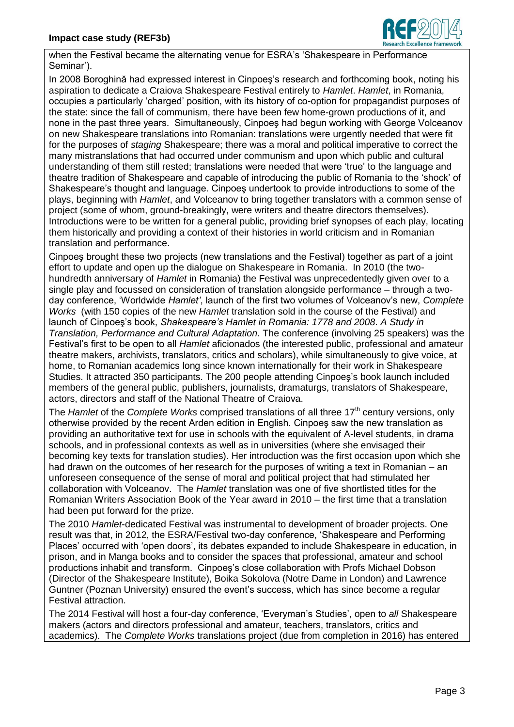

when the Festival became the alternating venue for ESRA's 'Shakespeare in Performance Seminar').

In 2008 Boroghină had expressed interest in Cinpoeş's research and forthcoming book, noting his aspiration to dedicate a Craiova Shakespeare Festival entirely to *Hamlet*. *Hamlet*, in Romania, occupies a particularly 'charged' position, with its history of co-option for propagandist purposes of the state: since the fall of communism, there have been few home-grown productions of it, and none in the past three years. Simultaneously, Cinpoeş had begun working with George Volceanov on new Shakespeare translations into Romanian: translations were urgently needed that were fit for the purposes of *staging* Shakespeare; there was a moral and political imperative to correct the many mistranslations that had occurred under communism and upon which public and cultural understanding of them still rested; translations were needed that were 'true' to the language and theatre tradition of Shakespeare and capable of introducing the public of Romania to the 'shock' of Shakespeare's thought and language. Cinpoeş undertook to provide introductions to some of the plays, beginning with *Hamlet*, and Volceanov to bring together translators with a common sense of project (some of whom, ground-breakingly, were writers and theatre directors themselves). Introductions were to be written for a general public, providing brief synopses of each play, locating them historically and providing a context of their histories in world criticism and in Romanian translation and performance.

Cinpoes brought these two projects (new translations and the Festival) together as part of a joint effort to update and open up the dialogue on Shakespeare in Romania. In 2010 (the twohundredth anniversary of *Hamlet* in Romania) the Festival was unprecedentedly given over to a single play and focussed on consideration of translation alongside performance – through a twoday conference, 'Worldwide *Hamlet'*, launch of the first two volumes of Volceanov's new, *Complete Works* (with 150 copies of the new *Hamlet* translation sold in the course of the Festival) and launch of Cinpoeş's book, *Shakespeare's Hamlet in Romania: 1778 and 2008*. *A Study in Translation, Performance and Cultural Adaptation*. The conference (involving 25 speakers) was the estival's first to be open to all *Hamlet* aficionados (the interested public, professional and amateur theatre makers, archivists, translators, critics and scholars), while simultaneously to give voice, at home, to Romanian academics long since known internationally for their work in Shakespeare Studies. It attracted 350 participants. The 200 people attending Cinpoeş's book launch included members of the general public, publishers, journalists, dramaturgs, translators of Shakespeare, actors, directors and staff of the National Theatre of Craiova.

The *Hamlet* of the *Complete Works* comprised translations of all three 17<sup>th</sup> century versions, only otherwise provided by the recent Arden edition in English. Cinpoeş saw the new translation as providing an authoritative text for use in schools with the equivalent of A-level students, in drama schools, and in professional contexts as well as in universities (where she envisaged their becoming key texts for translation studies). Her introduction was the first occasion upon which she had drawn on the outcomes of her research for the purposes of writing a text in Romanian – an unforeseen consequence of the sense of moral and political project that had stimulated her collaboration with Volceanov. The *Hamlet* translation was one of five shortlisted titles for the Romanian Writers Association Book of the Year award in 2010 – the first time that a translation had been put forward for the prize.

The 2010 *Hamlet*-dedicated Festival was instrumental to development of broader projects. One result was that, in 2012, the ESRA/Festival two-day conference, 'Shakespeare and Performing Places' occurred with 'open doors', its debates expanded to include Shakespeare in education, in prison, and in Manga books and to consider the spaces that professional, amateur and school productions inhabit and transform. Cinpoeş's close collaboration with Profs Michael Dobson (Director of the Shakespeare Institute), Boika Sokolova (Notre Dame in London) and Lawrence Guntner (Poznan University) ensured the event's success, which has since become a regular Festival attraction.

The 2014 Festival will host a four-day conference, 'Everyman's Studies', open to *all* Shakespeare makers (actors and directors professional and amateur, teachers, translators, critics and academics). The *Complete Works* translations project (due from completion in 2016) has entered